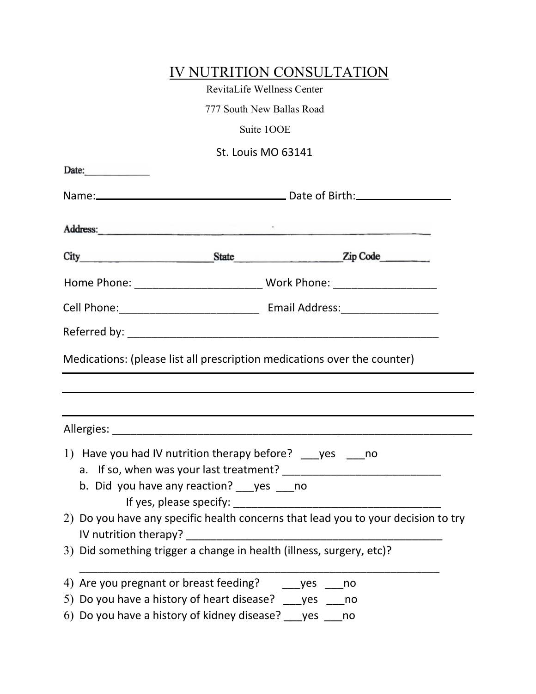|                                                           |                                               | IV NUTRITION CONSULTATION                                                                                                                                    |  |
|-----------------------------------------------------------|-----------------------------------------------|--------------------------------------------------------------------------------------------------------------------------------------------------------------|--|
|                                                           | RevitaLife Wellness Center                    |                                                                                                                                                              |  |
|                                                           | 777 South New Ballas Road                     |                                                                                                                                                              |  |
|                                                           | Suite 100E                                    |                                                                                                                                                              |  |
|                                                           | <b>St. Louis MO 63141</b>                     |                                                                                                                                                              |  |
| Date:                                                     |                                               |                                                                                                                                                              |  |
|                                                           |                                               |                                                                                                                                                              |  |
|                                                           |                                               |                                                                                                                                                              |  |
|                                                           |                                               | City State Zip Code                                                                                                                                          |  |
|                                                           |                                               |                                                                                                                                                              |  |
|                                                           |                                               |                                                                                                                                                              |  |
|                                                           |                                               |                                                                                                                                                              |  |
|                                                           |                                               | Medications: (please list all prescription medications over the counter)<br>,我们也不会有什么。""我们的人,我们也不会有什么?""我们的人,我们也不会有什么?""我们的人,我们也不会有什么?""我们的人,我们也不会有什么?""我们的人 |  |
|                                                           |                                               |                                                                                                                                                              |  |
|                                                           | b. Did you have any reaction? ___ yes ____ no | 1) Have you had IV nutrition therapy before? ____ yes ____ no                                                                                                |  |
| IV nutrition therapy?                                     |                                               | 2) Do you have any specific health concerns that lead you to your decision to try                                                                            |  |
|                                                           |                                               | 3) Did something trigger a change in health (illness, surgery, etc)?                                                                                         |  |
| 4) Are you pregnant or breast feeding?                    |                                               | yes<br>no                                                                                                                                                    |  |
| 5) Do you have a history of heart disease? sayes          |                                               | no                                                                                                                                                           |  |
| $6)$ Do you have a history of kidney disease? $\_\_\$ yes |                                               | no                                                                                                                                                           |  |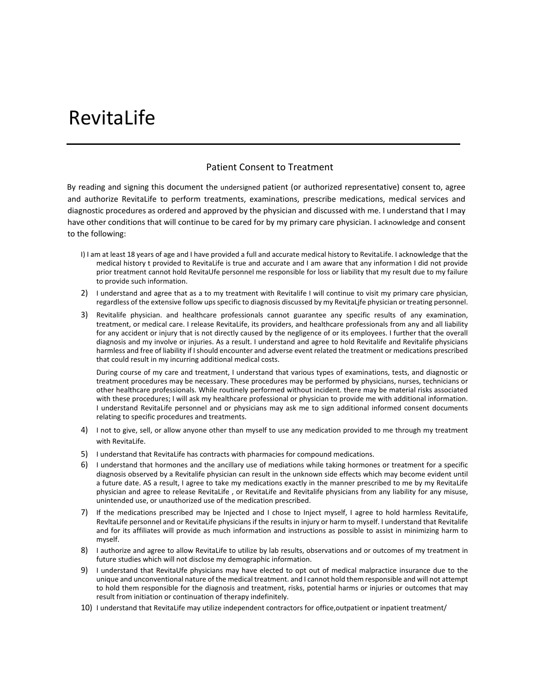## RevitaLife

## Patient Consent to Treatment

By reading and signing this document the undersigned patient (or authorized representative) consent to, agree and authorize RevitaLife to perform treatments, examinations, prescribe medications, medical services and diagnostic procedures as ordered and approved by the physician and discussed with me. I understand that I may have other conditions that will continue to be cared for by my primary care physician. I acknowledge and consent to the following:

- I) I am at least 18 years of age and I have provided a full and accurate medical history to RevitaLife. I acknowledge that the medical history t provided to RevitaLife is true and accurate and I am aware that any information I did not provide prior treatment cannot hold RevitaUfe personnel me responsible for loss or liability that my result due to my failure to provide such information.
- 2) I understand and agree that as a to my treatment with Revitalife I will continue to visit my primary care physician, regardless of the extensive follow ups specific to diagnosis discussed by my RevitaLjfe physician or treating personnel.
- 3) Revitalife physician. and healthcare professionals cannot guarantee any specific results of any examination, treatment, or medical care. I release RevitaLife, its providers, and healthcare professionals from any and all liability for any accident or injury that is not directly caused by the negligence of or its employees. I further that the overall diagnosis and my involve or injuries. As a result. I understand and agree to hold Revitalife and Revitalife physicians harmless and free of liability if I should encounter and adverse event related the treatment or medications prescribed that could result in my incurring additional medical costs.

During course of my care and treatment, I understand that various types of examinations, tests, and diagnostic or treatment procedures may be necessary. These procedures may be performed by physicians, nurses, technicians or other healthcare professionals. While routinely performed without incident. there may be material risks associated with these procedures; I will ask my healthcare professional or physician to provide me with additional information. I understand RevitaLife personnel and or physicians may ask me to sign additional informed consent documents relating to specific procedures and treatments.

- 4) I not to give, sell, or allow anyone other than myself to use any medication provided to me through my treatment with RevitaLife.
- 5) I understand that RevitaLife has contracts with pharmacies for compound medications.
- 6) I understand that hormones and the ancillary use of mediations while taking hormones or treatment for a specific diagnosis observed by a Revitalife physician can result in the unknown side effects which may become evident until a future date. AS a result, I agree to take my medications exactly in the manner prescribed to me by my RevitaLife physician and agree to release RevitaLife , or RevitaLife and Revitalife physicians from any liability for any misuse, unintended use, or unauthorized use of the medication prescribed.
- 7) If the medications prescribed may be Injected and I chose to Inject myself, I agree to hold harmless RevitaLife, RevltaLife personnel and or RevitaLife physicians if the results in injury or harm to myself. I understand that Revitalife and for its affiliates will provide as much information and instructions as possible to assist in minimizing harm to myself.
- 8) I authorize and agree to allow RevitaLife to utilize by lab results, observations and or outcomes of my treatment in future studies which will not disclose my demographic information.
- 9) I understand that RevitaUfe physicians may have elected to opt out of medical malpractice insurance due to the unique and unconventional nature of the medical treatment. and I cannot hold them responsible and will not attempt to hold them responsible for the diagnosis and treatment, risks, potential harms or injuries or outcomes that may result from initiation or continuation of therapy indefinitely.
- 10) I understand that RevitaLife may utilize independent contractors for office,outpatient or inpatient treatment/